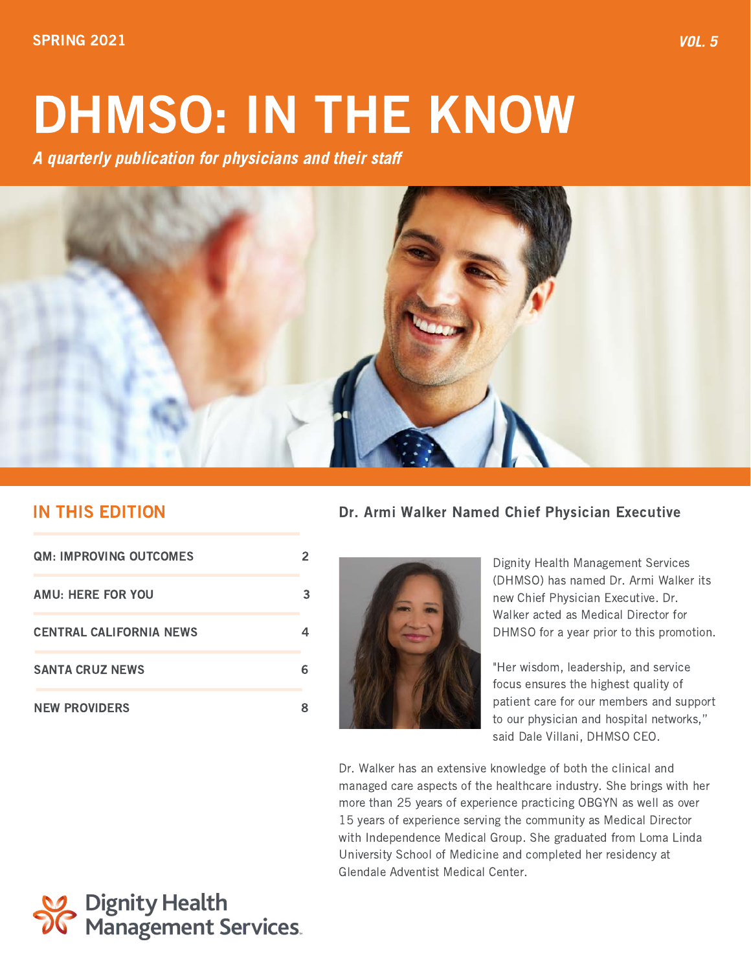# DHMSO: IN THE KNOW

A quarterly publication for physicians and their staff



# IN THIS EDITION

| <b>QM: IMPROVING OUTCOMES</b>  |   |
|--------------------------------|---|
| <b>AMU: HERE FOR YOU</b>       | З |
| <b>CENTRAL CALIFORNIA NEWS</b> |   |
| <b>SANTA CRUZ NEWS</b>         |   |
| <b>NEW PROVIDERS</b>           |   |

## Dr. Armi Walker Named Chief Physician Executive



Dignity Health Management Services (DHMSO) has named Dr. Armi Walker its new Chief Physician Executive. Dr. Walker acted as Medical Director for DHMSO for a year prior to this promotion.

"Her wisdom, leadership, and service focus ensures the highest quality of patient care for our members and support to our physician and hospital networks," said Dale Villani, DHMSO CEO.

Dr. Walker has an extensive knowledge of both the clinical and managed care aspects of the healthcare industry. She brings with her more than 25 years of experience practicing OBGYN as well as over 15 years of experience serving the community as Medical Director with Independence Medical Group. She graduated from Loma Linda University School of Medicine and completed her residency at Glendale Adventist Medical Center.

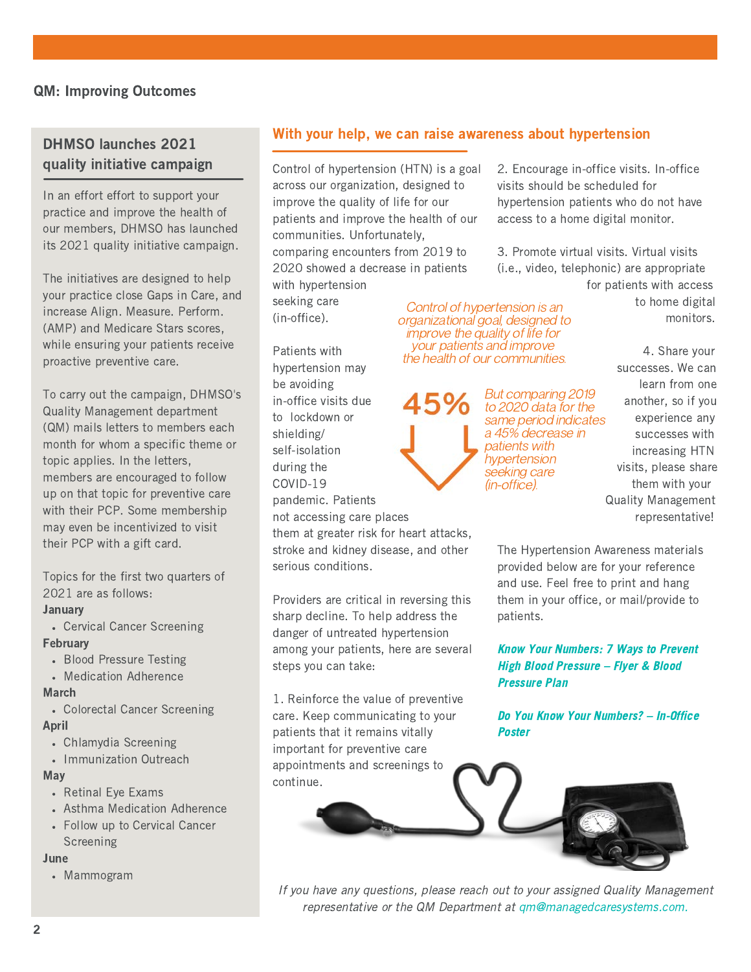## DHMSO launches 2021 quality initiative campaign

In an effort effort to support your practice and improve the health of our members, DHMSO has launched its 2021 quality initiative campaign.

The initiatives are designed to help your practice close Gaps in Care, and increase Align. Measure. Perform. (AMP) and Medicare Stars scores, while ensuring your patients receive proactive preventive care.

To carry out the campaign, DHMSO's Quality Management department (QM) mails letters to members each month for whom a specific theme or topic applies. In the letters, members are encouraged to follow up on that topic for preventive care with their PCP. Some membership may even be incentivized to visit their PCP with a gift card.

Topics for the first two quarters of 2021 are as follows:

#### January

Cervical Cancer Screening February

- Blood Pressure Testing
- Medication Adherence

#### March

- Colorectal Cancer Screening April
- Chlamydia Screening
- Immunization Outreach

#### May

- Retinal Eye Exams
- Asthma Medication Adherence
- Follow up to Cervical Cancer Screening

#### June

Mammogram

## With your help, we can raise awareness about hypertension

Control of hypertension is an

improve the quality of life for your patients and improve the health of our communities.

> But comparing 2019 to 2020 data for the

a 45% decrease in patients with hypertension seeking care (in-office).

Control of hypertension (HTN) is a goal across our organization, designed to improve the quality of life for our patients and improve the health of our communities. Unfortunately, comparing encounters from 2019 to 2020 showed a decrease in patients with hypertension

seeking care (in-office).

Patients with hypertension may be avoiding in-office visits due to lockdown or shielding/ self-isolation during the COVID-19 pandemic. Patients not accessing care places

them at greater risk for heart attacks, stroke and kidney disease, and other serious conditions.

Providers are critical in reversing this sharp decline. To help address the danger of untreated hypertension among your patients, here are several steps you can take:

1. Reinforce the value of preventive care. Keep communicating to your patients that it remains vitally important for preventive care appointments and screenings to continue.

visits should be scheduled for hypertension patients who do not have access to a home digital monitor.

2. Encourage in-office visits. In-office

3. Promote virtual visits. Virtual visits (i.e., video, telephonic) are appropriate for patients with access

 to home digital monitors. organizational goal, designed to

> 4. Share your successes. We can learn from one another, so if you to *EUEU* data for the control experience any successes with increasing HTN visits, please share them with your Quality Management representative!

The Hypertension Awareness materials provided below are for your reference and use. Feel free to print and hang them in your office, or mail/provide to patients.

Know Your Numbers: 7 Ways to Prevent High Blood Pressure – Flyer & Blood Pressure Plan

Do You Know Your Numbers? – In-Office Poster



If you have any questions, please reach out to your assigned Quality Management representative or the QM Department at qm@managedcaresystems.com.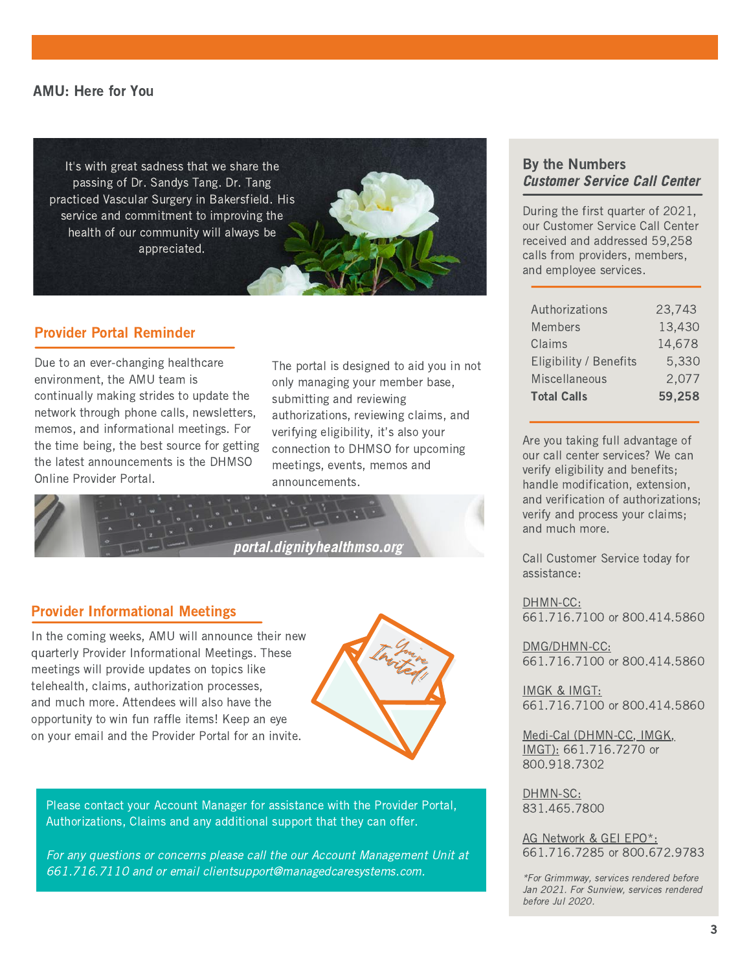#### AMU: Here for You

It's with great sadness that we share the passing of Dr. Sandys Tang. Dr. Tang practiced Vascular Surgery in Bakersfield. His service and commitment to improving the health of our community will always be appreciated.

## Provider Portal Reminder

Due to an ever-changing healthcare environment, the AMU team is continually making strides to update the network through phone calls, newsletters, memos, and informational meetings. For the time being, the best source for getting the latest announcements is the DHMSO Online Provider Portal.

The portal is designed to aid you in not only managing your member base, submitting and reviewing authorizations, reviewing claims, and verifying eligibility, it's also your connection to DHMSO for upcoming meetings, events, memos and announcements.



## Provider Informational Meetings

In the coming weeks, AMU will announce their new quarterly Provider Informational Meetings. These meetings will provide updates on topics like telehealth, claims, authorization processes, and much more. Attendees will also have the opportunity to win fun raffle items! Keep an eye on your email and the Provider Portal for an invite.



Please contact your Account Manager for assistance with the Provider Portal, Authorizations, Claims and any additional support that they can offer.

For any questions or concerns please call the our Account Management Unit at 661.716.7110 and or email [clientsupport@managedcaresystems.com](mailto:clientsupport@managedcaresystems.com).

## By the Numbers Customer Service Call Center

During the first quarter of 2021, our Customer Service Call Center received and addressed 59,258 calls from providers, members, and employee services.

| Authorizations         | 23,743 |
|------------------------|--------|
| <b>Members</b>         | 13,430 |
| Claims                 | 14,678 |
| Eligibility / Benefits | 5,330  |
| Miscellaneous          | 2,077  |
| <b>Total Calls</b>     | 59,258 |

Are you taking full advantage of our call center services? We can verify eligibility and benefits; handle modification, extension, and verification of authorizations; verify and process your claims; and much more.

Call Customer Service today for assistance:

DHMN-CC: 661.716.7100 or 800.414.5860

DMG/DHMN-CC: 661.716.7100 or 800.414.5860

IMGK & IMGT: 661.716.7100 or 800.414.5860

Medi-Cal (DHMN-CC, IMGK, IMGT): 661.716.7270 or 800.918.7302

DHMN-SC: 831.465.7800

AG Network & GEI EPO\*: 661.716.7285 or 800.672.9783

\*For Grimmway, services rendered before Jan 2021. For Sunview, services rendered before Jul 2020.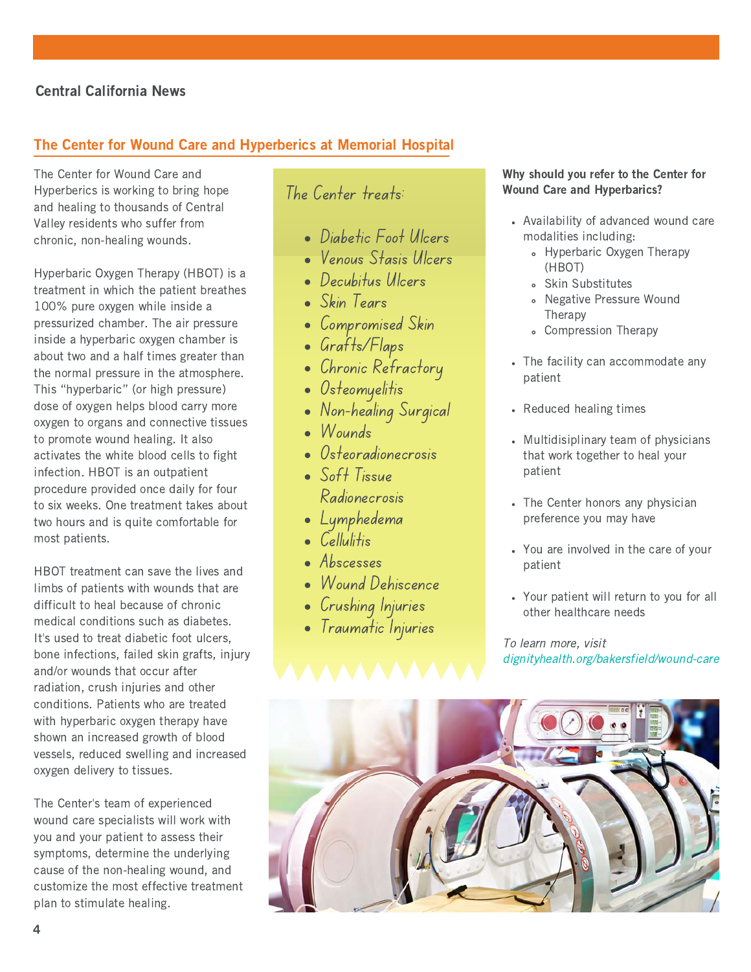## Central California News

## The Center for Wound Care and Hyperberics at Memorial Hospital

The Center for Wound Care and Hyperberics is working to bring hope and healing to thousands of Central Valley residents who suffer from chronic, non-healing wounds.

Hyperbaric Oxygen Therapy (HBOT) is a treatment in which the patient breathes 100% pure oxygen while inside a pressurized chamber. The air pressure inside a hyperbaric oxygen chamber is about two and a half times greater than the normal pressure in the atmosphere. This "hyperbaric" (or high pressure) dose of oxygen helps blood carry more oxygen to organs and connective tissues to promote wound healing. It also activates the white blood cells to fight infection. HBOT is an outpatient procedure provided once daily for four to six weeks. One treatment takes about two hours and is quite comfortable for most patients.

HBOT treatment can save the lives and limbs of patients with wounds that are difficult to heal because of chronic medical conditions such as diabetes. It's used to treat diabetic foot ulcers, bone infections, failed skin grafts, injury and/or wounds that occur after radiation, crush injuries and other conditions. Patients who are treated with hyperbaric oxygen therapy have shown an increased growth of blood vessels, reduced swelling and increased oxygen delivery to tissues.

customize the most effective treatment The Center's team of experienced wound care specialists will work with you and your patient to assess their symptoms, determine the underlying cause of the non-healing wound, and plan to stimulate healing.

# The Center treats:

- Diabetic Foot Ulcers
- Venous Stasis Ulcers
- Decubitus Ulcers
- Skin Tears
- Compromised Skin
- Grafts/Flaps
- Chronic Refractory
- Osteomyelitis
- Non-healing Surgical
- Wounds
- Osteoradionecrosis
- Soft Tissue Radionecrosis
- Lymphedema
- $\epsilon$  Cellulitis
- Abscesses
- Wound Dehiscence
- Crushing Injuries
- Traumatic Injuries

#### Why should you refer to the Center for Wound Care and Hyperbarics?

- Availability of advanced wound care modalities including:
	- Hyperbaric Oxygen Therapy (HBOT)
	- Skin Substitutes
	- Negative Pressure Wound Therapy
	- Compression Therapy
- The facility can accommodate any patient
- Reduced healing times
- Multidisiplinary team of physicians that work together to heal your patient
- The Center honors any physician preference you may have
- You are involved in the care of your patient
- Your patient will return to you for all other healthcare needs

To learn more, visit dignityhealth.org/bakersfield/wound-care

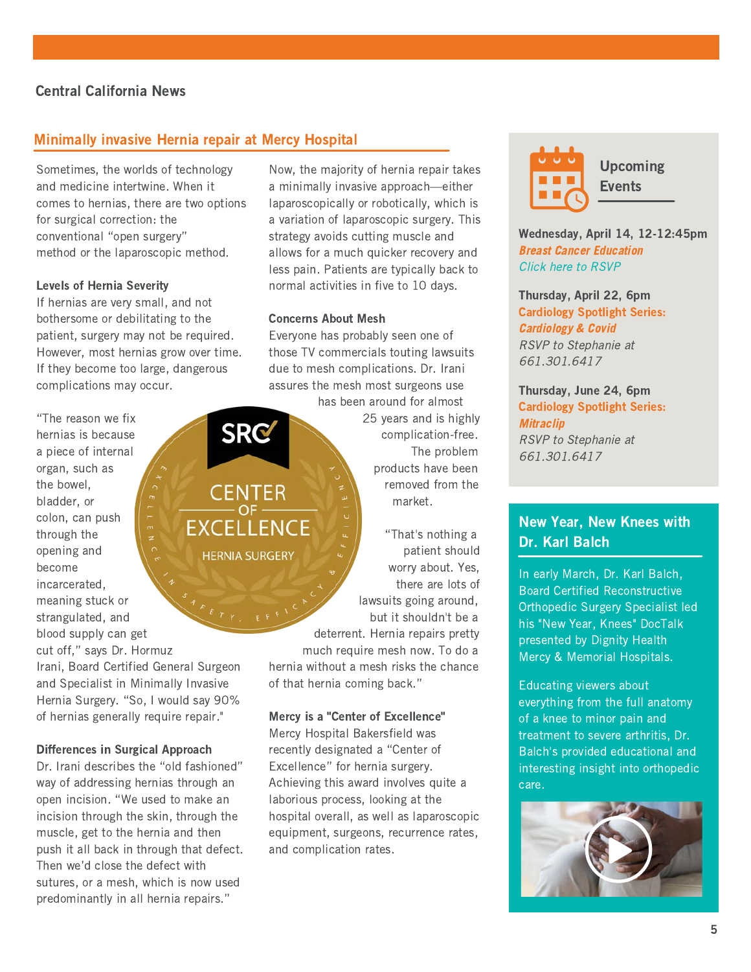## Central California News

## Minimally invasive Hernia repair at Mercy Hospital

Sometimes, the worlds of technology and medicine intertwine. When it comes to hernias, there are two options for surgical correction: the conventional "open surgery" method or the laparoscopic method.

#### Levels of Hernia Severity

If hernias are very small, and not bothersome or debilitating to the patient, surgery may not be required. However, most hernias grow over time. If they become too large, dangerous complications may occur.

"The reason we fix SRG hernias is because a piece of internal organ, such as the bowel, bladder, or  $\begin{bmatrix} 1 & 1 & 1 & 1 \\ 1 & 1 & 1 & 1 \\ 1 & 1 & 1 & 1 \\ 1 & 1 & 1 & 1 \end{bmatrix}$  market. colon, can push through the opening and become incarcerated, meaning stuck or strangulated, and blood supply can get cut off," says Dr. Hormuz Irani, Board Certified General Surgeon and Specialist in Minimally Invasive Hernia Surgery. "So, I would say 90% of hernias generally require repair."

#### Differences in Surgical Approach

Dr. Irani describes the "old fashioned" way of addressing hernias through an open incision. "We used to make an incision through the skin, through the muscle, get to the hernia and then push it all back in through that defect. Then we'd close the defect with sutures, or a mesh, which is now used predominantly in all hernia repairs."

Now, the majority of hernia repair takes a minimally invasive approach—either laparoscopically or robotically, which is a variation of laparoscopic surgery. This strategy avoids cutting muscle and allows for a much quicker recovery and less pain. Patients are typically back to normal activities in five to 10 days.

#### Concerns About Mesh

Everyone has probably seen one of those TV commercials touting lawsuits due to mesh complications. Dr. Irani assures the mesh most surgeons use

 has been around for almost 25 years and is highly complication-free. The problem products have been **CENTER**  $\begin{bmatrix} z \\ z \end{bmatrix}$  removed from the

 "That's nothing a **HERNIA SURGERY**  $\sqrt{2}$  patient should worry about. Yes, there are lots of lawsuits going around, but it shouldn't be a deterrent. Hernia repairs pretty much require mesh now. To do a

hernia without a mesh risks the chance of that hernia coming back."

#### Mercy is a "Center of Excellence"

Mercy Hospital Bakersfield was recently designated a "Center of Excellence" for hernia surgery. Achieving this award involves quite a laborious process, looking at the hospital overall, as well as laparoscopic equipment, surgeons, recurrence rates, and complication rates.



Upcoming **Events** 

Wednesday, April 14, 12-12:45pm Breast Cancer Education Click here to RSVP

Thursday, April 22, 6pm Cardiology Spotlight Series: Cardiology & Covid RSVP to Stephanie at 661.301.6417

Thursday, June 24, 6pm Cardiology Spotlight Series: **Mitraclip** RSVP to Stephanie at 661.301.6417

## New Year, New Knees with Dr. Karl Balch

In early March, Dr. Karl Balch, Board Certified Reconstructive Orthopedic Surgery Specialist led his "New Year, Knees" DocTalk presented by Dignity Health Mercy & Memorial Hospitals.

Educating viewers about everything from the full anatomy of a knee to minor pain and treatment to severe arthritis, Dr. Balch's provided educational and interesting insight into orthopedic care.

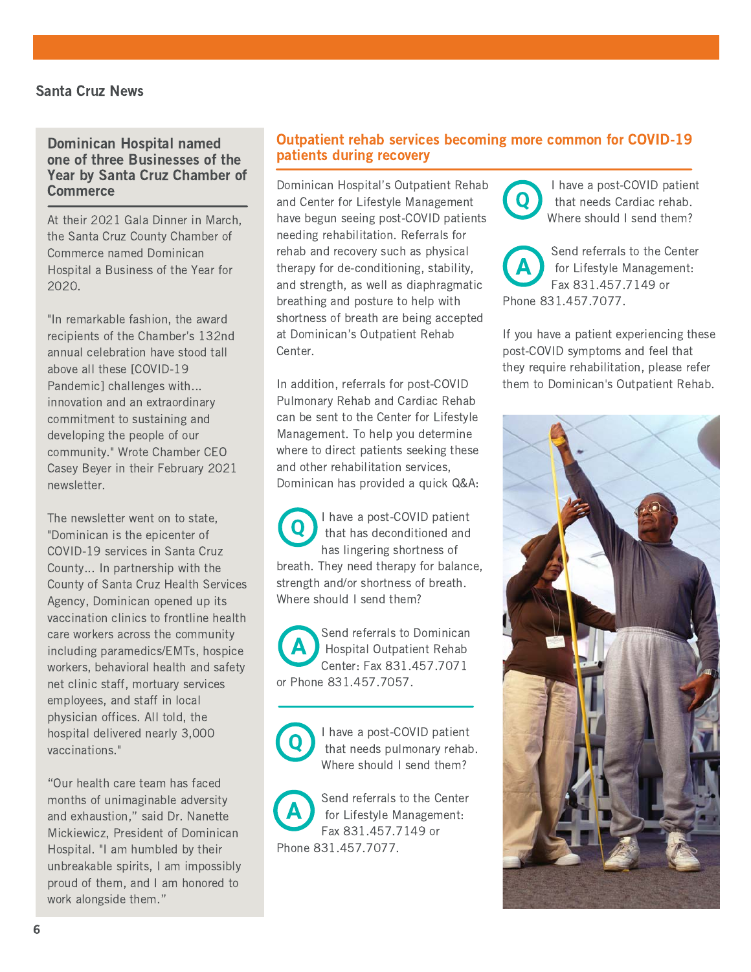#### Dominican Hospital named one of three Businesses of the Year by Santa Cruz Chamber of **Commerce**

At their 2021 Gala Dinner in March, the Santa Cruz County Chamber of Commerce named Dominican Hospital a Business of the Year for 2020.

"In remarkable fashion, the award recipients of the Chamber's 132nd annual celebration have stood tall above all these [COVID-19 Pandemic] challenges with... innovation and an extraordinary commitment to sustaining and developing the people of our community." Wrote Chamber CEO Casey Beyer in their February 2021 newsletter.

The newsletter went on to state, "Dominican is the epicenter of COVID-19 services in Santa Cruz County... In partnership with the County of Santa Cruz Health Services Agency, Dominican opened up its vaccination clinics to frontline health care workers across the community including paramedics/EMTs, hospice workers, behavioral health and safety net clinic staff, mortuary services employees, and staff in local physician offices. All told, the hospital delivered nearly 3,000 vaccinations."

"Our health care team has faced months of unimaginable adversity and exhaustion," said Dr. Nanette Mickiewicz, President of Dominican Hospital. "I am humbled by their unbreakable spirits, I am impossibly proud of them, and I am honored to work alongside them."

## Outpatient rehab services becoming more common for COVID-19 patients during recovery

Dominican Hospital's Outpatient Rehab and Center for Lifestyle Management have begun seeing post-COVID patients needing rehabilitation. Referrals for rehab and recovery such as physical therapy for de-conditioning, stability, and strength, as well as diaphragmatic breathing and posture to help with shortness of breath are being accepted at Dominican's Outpatient Rehab Center.

In addition, referrals for post-COVID Pulmonary Rehab and Cardiac Rehab can be sent to the Center for Lifestyle Management. To help you determine where to direct patients seeking these and other rehabilitation services, Dominican has provided a quick Q&A:

 I have a post-COVID patient that has deconditioned and has lingering shortness of breath. They need therapy for balance, strength and/or shortness of breath. Where should I send them?

 Send referrals to Dominican Hospital Outpatient Rehab Center: Fax 831.457.7071 or Phone 831.457.7057.



 I have a post-COVID patient that needs pulmonary rehab. Where should I send them?

 Send referrals to the Center for Lifestyle Management: Fax 831.457.7149 or Phone 831.457.7077.

 I have a post-COVID patient that needs Cardiac rehab. Where should I send them?

 Send referrals to the Center for Lifestyle Management: Fax 831.457.7149 or Phone 831.457.7077.

If you have a patient experiencing these post-COVID symptoms and feel that they require rehabilitation, please refer them to Dominican's Outpatient Rehab.

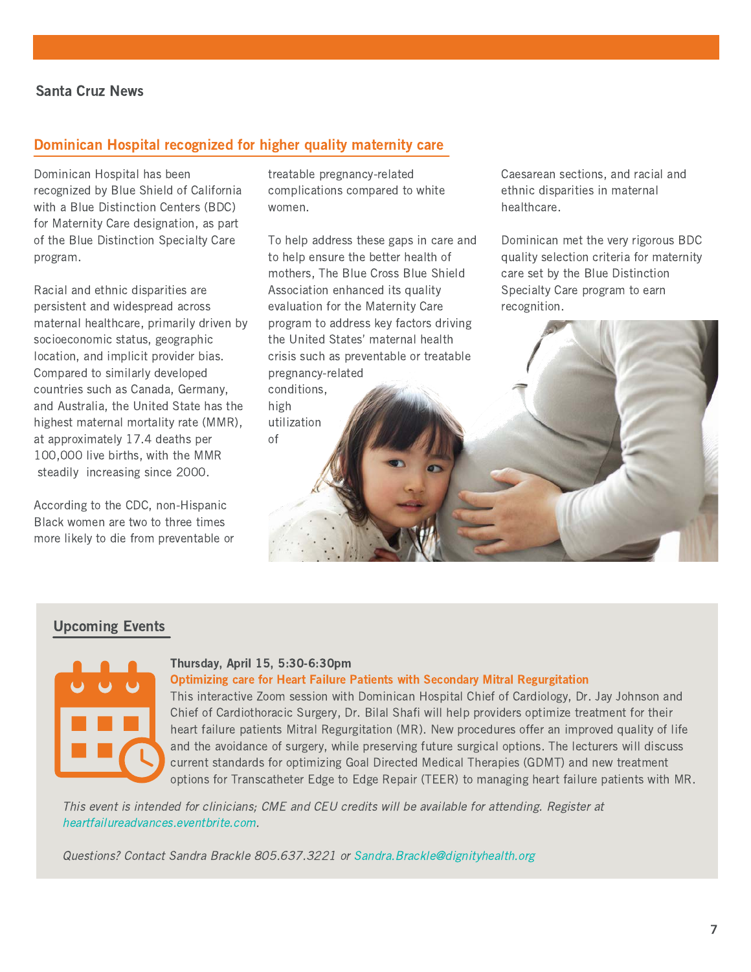## Santa Cruz News

## Dominican Hospital recognized for higher quality maternity care

Dominican Hospital has been recognized by Blue Shield of California with a Blue Distinction Centers (BDC) for Maternity Care designation, as part of the Blue Distinction Specialty Care program.

Racial and ethnic disparities are persistent and widespread across maternal healthcare, primarily driven by socioeconomic status, geographic location, and implicit provider bias. Compared to similarly developed countries such as Canada, Germany, and Australia, the United State has the highest maternal mortality rate (MMR), at approximately 17.4 deaths per 100,000 live births, with the MMR steadily increasing since 2000.

According to the CDC, non-Hispanic Black women are two to three times more likely to die from preventable or treatable pregnancy-related complications compared to white women.

To help address these gaps in care and to help ensure the better health of mothers, The Blue Cross Blue Shield Association enhanced its quality evaluation for the Maternity Care program to address key factors driving the United States' maternal health crisis such as preventable or treatable pregnancy-related conditions,

high utilization of

Caesarean sections, and racial and ethnic disparities in maternal healthcare.

Dominican met the very rigorous BDC quality selection criteria for maternity care set by the Blue Distinction Specialty Care program to earn recognition.

#### Upcoming Events



#### Thursday, April 15, 5:30-6:30pm

#### Optimizing care for Heart Failure Patients with Secondary Mitral Regurgitation

This interactive Zoom session with Dominican Hospital Chief of Cardiology, Dr. Jay Johnson and Chief of Cardiothoracic Surgery, Dr. Bilal Shafi will help providers optimize treatment for their heart failure patients Mitral Regurgitation (MR). New procedures offer an improved quality of life and the avoidance of surgery, while preserving future surgical options. The lecturers will discuss current standards for optimizing Goal Directed Medical Therapies (GDMT) and new treatment options for Transcatheter Edge to Edge Repair (TEER) to managing heart failure patients with MR.

This event is intended for clinicians; CME and CEU credits will be available for attending. Register at heartfailureadvances.eventbrite.com.

Questions? Contact Sandra Brackle 805.637.3221 or [Sandra.Brackle@dignityhealth.org](mailto:Sandra.Brackle@dignityhealth.org)